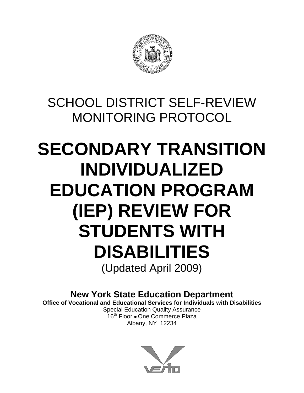

# SCHOOL DISTRICT SELF-REVIEW MONITORING PROTOCOL

# **SECONDARY TRANSITION INDIVIDUALIZED EDUCATION PROGRAM (IEP) REVIEW FOR STUDENTS WITH DISABILITIES**  (Updated April 2009)

**New York State Education Department** 

**Office of Vocational and Educational Services for Individuals with Disabilities**  Special Education Quality Assurance

16<sup>th</sup> Floor • One Commerce Plaza Albany, NY 12234

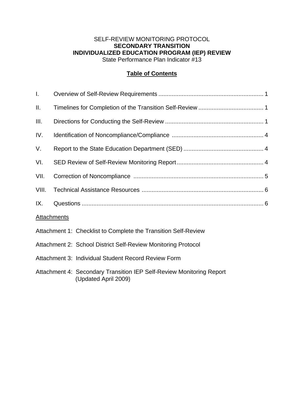#### SELF-REVIEW MONITORING PROTOCOL **SECONDARY TRANSITION INDIVIDUALIZED EDUCATION PROGRAM (IEP) REVIEW**  State Performance Plan Indicator #13

#### **Table of Contents**

| I.    |                                                                                              |  |
|-------|----------------------------------------------------------------------------------------------|--|
| ΙΙ.   |                                                                                              |  |
| III.  |                                                                                              |  |
| IV.   |                                                                                              |  |
| V.    |                                                                                              |  |
| VI.   |                                                                                              |  |
| VII.  |                                                                                              |  |
| VIII. |                                                                                              |  |
| IX.   |                                                                                              |  |
|       | <b>Attachments</b>                                                                           |  |
|       | Attachment 1: Checklist to Complete the Transition Self-Review                               |  |
|       | Attachment 2: School District Self-Review Monitoring Protocol                                |  |
|       | Attachment 3: Individual Student Record Review Form                                          |  |
|       | Attachment 4: Secondary Transition IEP Self-Review Monitoring Report<br>(Updated April 2009) |  |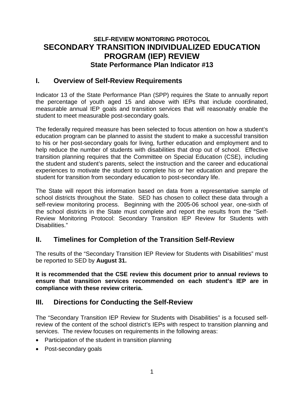# **SELF-REVIEW MONITORING PROTOCOL SECONDARY TRANSITION INDIVIDUALIZED EDUCATION PROGRAM (IEP) REVIEW State Performance Plan Indicator #13**

## **I. Overview of Self-Review Requirements**

Indicator 13 of the State Performance Plan (SPP) requires the State to annually report the percentage of youth aged 15 and above with IEPs that include coordinated, measurable annual IEP goals and transition services that will reasonably enable the student to meet measurable post-secondary goals.

The federally required measure has been selected to focus attention on how a student's education program can be planned to assist the student to make a successful transition to his or her post-secondary goals for living, further education and employment and to help reduce the number of students with disabilities that drop out of school. Effective transition planning requires that the Committee on Special Education (CSE), including the student and student's parents, select the instruction and the career and educational experiences to motivate the student to complete his or her education and prepare the student for transition from secondary education to post-secondary life.

The State will report this information based on data from a representative sample of school districts throughout the State. SED has chosen to collect these data through a self-review monitoring process. Beginning with the 2005-06 school year, one-sixth of the school districts in the State must complete and report the results from the "Self-Review Monitoring Protocol: Secondary Transition IEP Review for Students with Disabilities."

# **II. Timelines for Completion of the Transition Self-Review**

The results of the "Secondary Transition IEP Review for Students with Disabilities" must be reported to SED by **August 31.** 

**It is recommended that the CSE review this document prior to annual reviews to ensure that transition services recommended on each student's IEP are in compliance with these review criteria.** 

# **III. Directions for Conducting the Self-Review**

The "Secondary Transition IEP Review for Students with Disabilities" is a focused selfreview of the content of the school district's IEPs with respect to transition planning and services. The review focuses on requirements in the following areas:

- Participation of the student in transition planning
- Post-secondary goals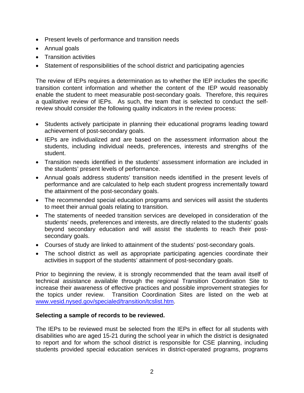- Present levels of performance and transition needs
- Annual goals
- Transition activities
- Statement of responsibilities of the school district and participating agencies

The review of IEPs requires a determination as to whether the IEP includes the specific transition content information and whether the content of the IEP would reasonably enable the student to meet measurable post-secondary goals. Therefore, this requires a qualitative review of IEPs. As such, the team that is selected to conduct the selfreview should consider the following quality indicators in the review process:

- Students actively participate in planning their educational programs leading toward achievement of post-secondary goals.
- IEPs are individualized and are based on the assessment information about the students, including individual needs, preferences, interests and strengths of the student.
- Transition needs identified in the students' assessment information are included in the students' present levels of performance.
- Annual goals address students' transition needs identified in the present levels of performance and are calculated to help each student progress incrementally toward the attainment of the post-secondary goals.
- The recommended special education programs and services will assist the students to meet their annual goals relating to transition.
- The statements of needed transition services are developed in consideration of the students' needs, preferences and interests, are directly related to the students' goals beyond secondary education and will assist the students to reach their postsecondary goals.
- Courses of study are linked to attainment of the students' post-secondary goals.
- The school district as well as appropriate participating agencies coordinate their activities in support of the students' attainment of post-secondary goals.

Prior to beginning the review, it is strongly recommended that the team avail itself of technical assistance available through the regional Transition Coordination Site to increase their awareness of effective practices and possible improvement strategies for the topics under review. Transition Coordination Sites are listed on the web at [www.vesid.nysed.gov/specialed/transition/tcslist.htm](http://www.vesid.nysed.gov/specialed/transition/tcslist.htm).

#### **Selecting a sample of records to be reviewed.**

The IEPs to be reviewed must be selected from the IEPs in effect for all students with disabilities who are aged 15-21 during the school year in which the district is designated to report and for whom the school district is responsible for CSE planning, including students provided special education services in district-operated programs, programs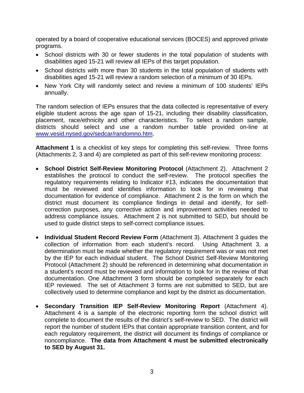operated by a board of cooperative educational services (BOCES) and approved private programs.

- School districts with 30 or fewer students in the total population of students with disabilities aged 15-21 will review all IEPs of this target population.
- School districts with more than 30 students in the total population of students with disabilities aged 15-21 will review a random selection of a minimum of 30 IEPs.
- New York City will randomly select and review a minimum of 100 students' IEPs annually.

The random selection of IEPs ensures that the data collected is representative of every eligible student across the age span of 15-21, including their disability classification, placement, race/ethnicity and other characteristics. To select a random sample, districts should select and use a random number table provided on-line at [www.vesid.nysed.gov/sedcar/randomno.htm](http://www.vesid.nysed.gov/sedcar/randomno.htm).

**Attachment 1** is a checklist of key steps for completing this self-review. Three forms (Attachments 2, 3 and 4) are completed as part of this self-review monitoring process:

- **School District Self-Review Monitoring Protocol** (Attachment 2). Attachment 2 establishes the protocol to conduct the self-review. The protocol specifies the regulatory requirements relating to Indicator #13, indicates the documentation that must be reviewed and identifies information to look for in reviewing that documentation for evidence of compliance. Attachment 2 is the form on which the district must document its compliance findings in detail and identify, for selfcorrection purposes, any corrective action and improvement activities needed to address compliance issues. Attachment 2 is not submitted to SED, but should be used to guide district steps to self-correct compliance issues.
- **Individual Student Record Review Form** (Attachment 3). Attachment 3 guides the collection of information from each student's record. Using Attachment 3, a determination must be made whether the regulatory requirement was or was not met by the IEP for each individual student. The School District Self-Review Monitoring Protocol (Attachment 2) should be referenced in determining what documentation in a student's record must be reviewed and information to look for in the review of that documentation. One Attachment 3 form should be completed separately for each IEP reviewed. The set of Attachment 3 forms are not submitted to SED, but are collectively used to determine compliance and kept by the district as documentation.
- **Secondary Transition IEP Self-Review Monitoring Report** (Attachment 4). Attachment 4 is a sample of the electronic reporting form the school district will complete to document the results of the district's self-review to SED. The district will report the number of student IEPs that contain appropriate transition content, and for each regulatory requirement, the district will document its findings of compliance or noncompliance. **The data from Attachment 4 must be submitted electronically to SED by August 31.**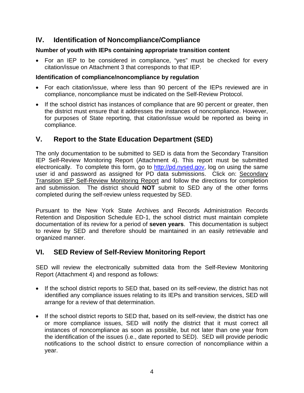# **IV. Identification of Noncompliance/Compliance**

#### **Number of youth with IEPs containing appropriate transition content**

• For an IEP to be considered in compliance, "yes" must be checked for every citation/issue on Attachment 3 that corresponds to that IEP.

#### **Identification of compliance/noncompliance by regulation**

- For each citation/issue, where less than 90 percent of the IEPs reviewed are in compliance, noncompliance must be indicated on the Self-Review Protocol.
- If the school district has instances of compliance that are 90 percent or greater, then the district must ensure that it addresses the instances of noncompliance. However, for purposes of State reporting, that citation/issue would be reported as being in compliance.

# **V. Report to the State Education Department (SED)**

The only documentation to be submitted to SED is data from the Secondary Transition IEP Self-Review Monitoring Report (Attachment 4). This report must be submitted electronically. To complete this form, go to [http://pd.nysed.gov,](http://pd.nysed.gov/) log on using the same user id and password as assigned for PD data submissions. Click on: Secondary Transition IEP Self-Review Monitoring Report and follow the directions for completion and submission. The district should **NOT** submit to SED any of the other forms completed during the self-review unless requested by SED.

Pursuant to the New York State Archives and Records Administration Records Retention and Disposition Schedule ED-1, the school district must maintain complete documentation of its review for a period of **seven years**. This documentation is subject to review by SED and therefore should be maintained in an easily retrievable and organized manner.

# **VI. SED Review of Self-Review Monitoring Report**

SED will review the electronically submitted data from the Self-Review Monitoring Report (Attachment 4) and respond as follows:

- If the school district reports to SED that, based on its self-review, the district has not identified any compliance issues relating to its IEPs and transition services, SED will arrange for a review of that determination.
- If the school district reports to SED that, based on its self-review, the district has one or more compliance issues, SED will notify the district that it must correct all instances of noncompliance as soon as possible, but not later than one year from the identification of the issues (i.e., date reported to SED). SED will provide periodic notifications to the school district to ensure correction of noncompliance within a year.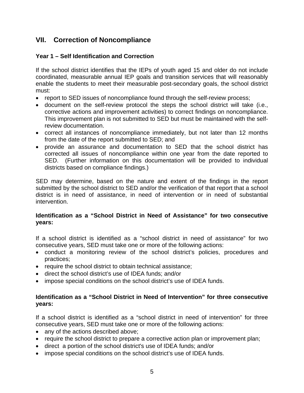# **VII. Correction of Noncompliance**

#### **Year 1 – Self Identification and Correction**

If the school district identifies that the IEPs of youth aged 15 and older do not include coordinated, measurable annual IEP goals and transition services that will reasonably enable the students to meet their measurable post-secondary goals, the school district must:

- report to SED issues of noncompliance found through the self-review process;
- document on the self-review protocol the steps the school district will take (i.e., corrective actions and improvement activities) to correct findings on noncompliance. This improvement plan is not submitted to SED but must be maintained with the selfreview documentation.
- correct all instances of noncompliance immediately, but not later than 12 months from the date of the report submitted to SED; and
- provide an assurance and documentation to SED that the school district has corrected all issues of noncompliance within one year from the date reported to SED. (Further information on this documentation will be provided to individual districts based on compliance findings.)

SED may determine, based on the nature and extent of the findings in the report submitted by the school district to SED and/or the verification of that report that a school district is in need of assistance, in need of intervention or in need of substantial intervention.

#### **Identification as a "School District in Need of Assistance" for two consecutive years:**

If a school district is identified as a "school district in need of assistance" for two consecutive years, SED must take one or more of the following actions:

- conduct a monitoring review of the school district's policies, procedures and practices;
- require the school district to obtain technical assistance;
- direct the school district's use of IDEA funds; and/or
- impose special conditions on the school district's use of IDEA funds.

#### **Identification as a "School District in Need of Intervention" for three consecutive years:**

If a school district is identified as a "school district in need of intervention" for three consecutive years, SED must take one or more of the following actions:

- any of the actions described above;
- require the school district to prepare a corrective action plan or improvement plan;
- direct a portion of the school district's use of IDEA funds; and/or
- impose special conditions on the school district's use of IDEA funds.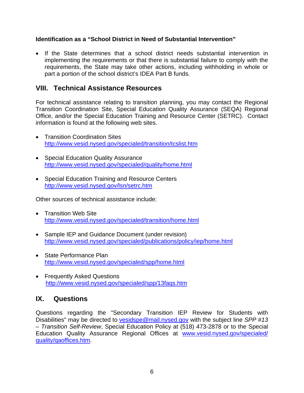#### **Identification as a "School District in Need of Substantial Intervention"**

• If the State determines that a school district needs substantial intervention in implementing the requirements or that there is substantial failure to comply with the requirements, the State may take other actions, including withholding in whole or part a portion of the school district's IDEA Part B funds.

### **VIII. Technical Assistance Resources**

For technical assistance relating to transition planning, you may contact the Regional Transition Coordination Site, Special Education Quality Assurance (SEQA) Regional Office, and/or the Special Education Training and Resource Center (SETRC). Contact information is found at the following web sites.

- Transition Coordination Sites <http://www.vesid.nysed.gov/specialed/transition/tcslist.htm>
- Special Education Quality Assurance <http://www.vesid.nysed.gov/specialed/quality/home.html>
- Special Education Training and Resource Centers <http://www.vesid.nysed.gov/lsn/setrc.htm>

Other sources of technical assistance include:

- Transition Web Site <http://www.vesid.nysed.gov/specialed/transition/home.html>
- Sample IEP and Guidance Document (under revision) <http://www.vesid.nysed.gov/specialed/publications/policy/iep/home.html>
- State Performance Plan <http://www.vesid.nysed.gov/specialed/spp/home.html>
- Frequently Asked Questions <http://www.vesid.nysed.gov/specialed/spp/13faqs.htm>

# **IX. Questions**

Questions regarding the "Secondary Transition IEP Review for Students with Disabilities" may be directed to [vesidspe@mail.nysed.gov](mailto:vesidspe@mail.nysed.gov) with the subject line *SPP #13 – Transition Self-Review*, Special Education Policy at (518) 473-2878 or to the Special Education Quality Assurance Regional Offices at [www.vesid.nysed.gov/specialed/](http://www.vesid.nysed.gov/specialed/) quality/qaoffices.htm.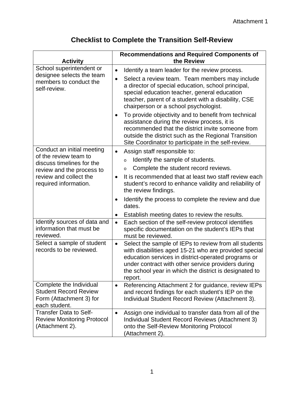| <b>Checklist to Complete the Transition Self-Review</b> |
|---------------------------------------------------------|
|---------------------------------------------------------|

| <b>Activity</b>                                                                                     | <b>Recommendations and Required Components of</b><br>the Review                                                                                                                                                                                                                                               |  |
|-----------------------------------------------------------------------------------------------------|---------------------------------------------------------------------------------------------------------------------------------------------------------------------------------------------------------------------------------------------------------------------------------------------------------------|--|
| School superintendent or                                                                            | Identify a team leader for the review process.<br>$\bullet$                                                                                                                                                                                                                                                   |  |
| designee selects the team<br>members to conduct the<br>self-review.                                 | Select a review team. Team members may include<br>a director of special education, school principal,<br>special education teacher, general education<br>teacher, parent of a student with a disability, CSE<br>chairperson or a school psychologist.                                                          |  |
|                                                                                                     | To provide objectivity and to benefit from technical<br>assistance during the review process, it is<br>recommended that the district invite someone from<br>outside the district such as the Regional Transition<br>Site Coordinator to participate in the self-review.                                       |  |
| Conduct an initial meeting                                                                          | Assign staff responsible to:<br>$\bullet$                                                                                                                                                                                                                                                                     |  |
| of the review team to<br>discuss timelines for the                                                  | Identify the sample of students.<br>$\circ$                                                                                                                                                                                                                                                                   |  |
| review and the process to                                                                           | Complete the student record reviews.<br>$\circ$                                                                                                                                                                                                                                                               |  |
| review and collect the<br>required information.                                                     | It is recommended that at least two staff review each<br>$\bullet$<br>student's record to enhance validity and reliability of<br>the review findings.                                                                                                                                                         |  |
|                                                                                                     | Identify the process to complete the review and due<br>dates.                                                                                                                                                                                                                                                 |  |
|                                                                                                     | Establish meeting dates to review the results.<br>$\bullet$                                                                                                                                                                                                                                                   |  |
| Identify sources of data and<br>information that must be<br>reviewed.                               | Each section of the self-review protocol identifies<br>$\bullet$<br>specific documentation on the student's IEPs that<br>must be reviewed.                                                                                                                                                                    |  |
| Select a sample of student<br>records to be reviewed.                                               | Select the sample of IEPs to review from all students<br>$\bullet$<br>with disabilities aged 15-21 who are provided special<br>education services in district-operated programs or<br>under contract with other service providers during<br>the school year in which the district is designated to<br>report. |  |
| Complete the Individual<br><b>Student Record Review</b><br>Form (Attachment 3) for<br>each student. | Referencing Attachment 2 for guidance, review IEPs<br>$\bullet$<br>and record findings for each student's IEP on the<br>Individual Student Record Review (Attachment 3).                                                                                                                                      |  |
| <b>Transfer Data to Self-</b><br><b>Review Monitoring Protocol</b><br>(Attachment 2).               | Assign one individual to transfer data from all of the<br>٠<br>Individual Student Record Reviews (Attachment 3)<br>onto the Self-Review Monitoring Protocol<br>(Attachment 2).                                                                                                                                |  |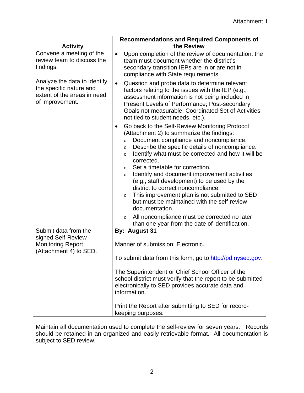| <b>Activity</b>                                                                                           | <b>Recommendations and Required Components of</b><br>the Review                                                                                                                                                                                                                                                                                                                                                                                                                                                                                                                                                                       |  |  |
|-----------------------------------------------------------------------------------------------------------|---------------------------------------------------------------------------------------------------------------------------------------------------------------------------------------------------------------------------------------------------------------------------------------------------------------------------------------------------------------------------------------------------------------------------------------------------------------------------------------------------------------------------------------------------------------------------------------------------------------------------------------|--|--|
| Convene a meeting of the<br>review team to discuss the<br>findings.                                       | Upon completion of the review of documentation, the<br>$\bullet$<br>team must document whether the district's<br>secondary transition IEPs are in or are not in<br>compliance with State requirements.                                                                                                                                                                                                                                                                                                                                                                                                                                |  |  |
| Analyze the data to identify<br>the specific nature and<br>extent of the areas in need<br>of improvement. | Question and probe data to determine relevant<br>factors relating to the issues with the IEP (e.g.,<br>assessment information is not being included in<br>Present Levels of Performance; Post-secondary<br>Goals not measurable; Coordinated Set of Activities<br>not tied to student needs, etc.).                                                                                                                                                                                                                                                                                                                                   |  |  |
|                                                                                                           | Go back to the Self-Review Monitoring Protocol<br>$\bullet$<br>(Attachment 2) to summarize the findings:<br>Document compliance and noncompliance.<br>$\circ$<br>Describe the specific details of noncompliance.<br>$\circ$<br>Identify what must be corrected and how it will be<br>$\circ$<br>corrected.<br>Set a timetable for correction.<br>$\circ$<br>Identify and document improvement activities<br>$\circ$<br>(e.g., staff development) to be used by the<br>district to correct noncompliance.<br>This improvement plan is not submitted to SED<br>$\circ$<br>but must be maintained with the self-review<br>documentation. |  |  |
|                                                                                                           | All noncompliance must be corrected no later<br>$\circ$<br>than one year from the date of identification.                                                                                                                                                                                                                                                                                                                                                                                                                                                                                                                             |  |  |
| Submit data from the<br>signed Self-Review                                                                | By: August 31                                                                                                                                                                                                                                                                                                                                                                                                                                                                                                                                                                                                                         |  |  |
| <b>Monitoring Report</b><br>(Attachment 4) to SED.                                                        | Manner of submission: Electronic.                                                                                                                                                                                                                                                                                                                                                                                                                                                                                                                                                                                                     |  |  |
|                                                                                                           | To submit data from this form, go to http://pd.nysed.gov.                                                                                                                                                                                                                                                                                                                                                                                                                                                                                                                                                                             |  |  |
|                                                                                                           | The Superintendent or Chief School Officer of the<br>school district must verify that the report to be submitted<br>electronically to SED provides accurate data and<br>information.                                                                                                                                                                                                                                                                                                                                                                                                                                                  |  |  |
|                                                                                                           | Print the Report after submitting to SED for record-<br>keeping purposes.                                                                                                                                                                                                                                                                                                                                                                                                                                                                                                                                                             |  |  |

Maintain all documentation used to complete the self-review for seven years. Records should be retained in an organized and easily retrievable format. All documentation is subject to SED review.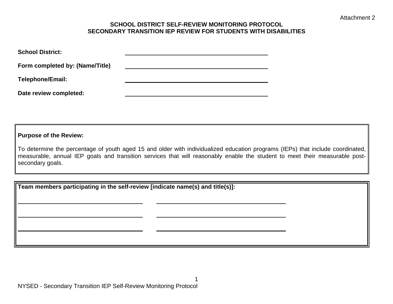#### **SCHOOL DISTRICT SELF-REVIEW MONITORING PROTOCOL SECONDARY TRANSITION IEP REVIEW FOR STUDENTS WITH DISABILITIES**

| <b>School District:</b>         |  |
|---------------------------------|--|
| Form completed by: (Name/Title) |  |
| <b>Telephone/Email:</b>         |  |
| Date review completed:          |  |

**Purpose of the Review:** 

To determine the percentage of youth aged 15 and older with individualized education programs (IEPs) that include coordinated, measurable, annual IEP goals and transition services that will reasonably enable the student to meet their measurable postsecondary goals.

**Team members participating in the self-review [indicate name(s) and title(s)]:**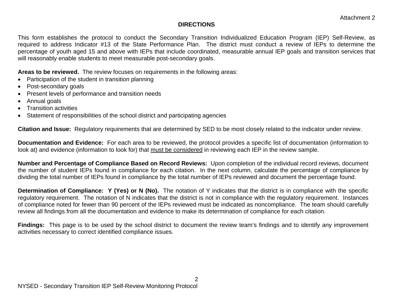#### **DIRECTIONS**

This form establishes the protocol to conduct the Secondary Transition Individualized Education Program (IEP) Self-Review, as required to address Indicator #13 of the State Performance Plan. The district must conduct a review of IEPs to determine the percentage of youth aged 15 and above with IEPs that include coordinated, measurable annual IEP goals and transition services that will reasonably enable students to meet measurable post-secondary goals.

**Areas to be reviewed.** The review focuses on requirements in the following areas:

- Participation of the student in transition planning
- Post-secondary goals
- Present levels of performance and transition needs
- Annual goals
- Transition activities
- Statement of responsibilities of the school district and participating agencies

**Citation and Issue:** Regulatory requirements that are determined by SED to be most closely related to the indicator under review.

**Documentation and Evidence:** For each area to be reviewed, the protocol provides a specific list of documentation (information to look at) and evidence (information to look for) that must be considered in reviewing each IEP in the review sample.

**Number and Percentage of Compliance Based on Record Reviews:** Upon completion of the individual record reviews, document the number of student IEPs found in compliance for each citation. In the next column, calculate the percentage of compliance by dividing the total number of IEPs found in compliance by the total number of IEPs reviewed and document the percentage found.

**Determination of Compliance: Y (Yes) or N (No).** The notation of Y indicates that the district is in compliance with the specific regulatory requirement. The notation of N indicates that the district is not in compliance with the regulatory requirement. Instances of compliance noted for fewer than 90 percent of the IEPs reviewed must be indicated as noncompliance. The team should carefully review all findings from all the documentation and evidence to make its determination of compliance for each citation.

**Findings:** This page is to be used by the school district to document the review team's findings and to identify any improvement activities necessary to correct identified compliance issues.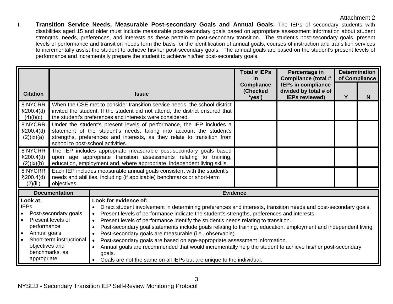I. **Transition Service Needs, Measurable Post-secondary Goals and Annual Goals.** The IEPs of secondary students with disabilities aged 15 and older must include measurable post-secondary goals based on appropriate assessment information about student strengths, needs, preferences, and interests as these pertain to post-secondary transition. The student's post-secondary goals, present levels of performance and transition needs form the basis for the identification of annual goals, courses of instruction and transition services to incrementally assist the student to achieve his/her post-secondary goals. The annual goals are based on the student's present levels of performance and incrementally prepare the student to achieve his/her post-secondary goals.

| <b>Citation</b>                                                                                                                                                                                                                                          |                                                                                                                                                                                                                                                                                                                                                                                          | <b>Issue</b>                                                                                                                                                                                                                                                                                                                                                                                                                                                                                                                                                                                                                                                                                                                                                                                              | <b>Total # IEPs</b><br><u>in</u><br><b>Compliance</b><br>(Checked<br>'yes') | Percentage in<br><b>Compliance (total #</b><br><b>IEPs in compliance</b><br>divided by total # of<br><b>IEPs reviewed)</b> | Y | <b>Determination</b><br>of Compliance<br>N |
|----------------------------------------------------------------------------------------------------------------------------------------------------------------------------------------------------------------------------------------------------------|------------------------------------------------------------------------------------------------------------------------------------------------------------------------------------------------------------------------------------------------------------------------------------------------------------------------------------------------------------------------------------------|-----------------------------------------------------------------------------------------------------------------------------------------------------------------------------------------------------------------------------------------------------------------------------------------------------------------------------------------------------------------------------------------------------------------------------------------------------------------------------------------------------------------------------------------------------------------------------------------------------------------------------------------------------------------------------------------------------------------------------------------------------------------------------------------------------------|-----------------------------------------------------------------------------|----------------------------------------------------------------------------------------------------------------------------|---|--------------------------------------------|
| 8 NYCRR<br>§200.4(d)<br>(4)(i)(c)<br>8 NYCRR<br>\$200.4(d)<br>(2)(ix)(a)                                                                                                                                                                                 | school to post-school activities.                                                                                                                                                                                                                                                                                                                                                        | When the CSE met to consider transition service needs, the school district<br>invited the student. If the student did not attend, the district ensured that<br>the student's preferences and interests were considered.<br>Under the student's present levels of performance, the IEP includes a<br>statement of the student's needs, taking into account the student's<br>strengths, preferences and interests, as they relate to transition from                                                                                                                                                                                                                                                                                                                                                        |                                                                             |                                                                                                                            |   |                                            |
| 8 NYCRR<br>\$200.4(d)<br>(2)(ix)(b)<br>8 NYCRR<br>\$200.4(d)<br>(2)(iii)                                                                                                                                                                                 | The IEP includes appropriate measurable post-secondary goals based<br>upon age appropriate transition assessments relating to training,<br>education, employment and, where appropriate, independent living skills.<br>Each IEP includes measurable annual goals consistent with the student's<br>needs and abilities, including (if applicable) benchmarks or short-term<br>objectives. |                                                                                                                                                                                                                                                                                                                                                                                                                                                                                                                                                                                                                                                                                                                                                                                                           |                                                                             |                                                                                                                            |   |                                            |
| <b>Documentation</b><br>Look at:<br>IEPs:<br>Post-secondary goals<br>$\bullet$<br>Present levels of<br>$\bullet$<br>performance<br>Annual goals<br>$\bullet$<br>Short-term instructional<br>$\bullet$<br>objectives and<br>benchmarks, as<br>appropriate |                                                                                                                                                                                                                                                                                                                                                                                          | <b>Evidence</b><br>Look for evidence of:<br>Direct student involvement in determining preferences and interests, transition needs and post-secondary goals.<br>Present levels of performance indicate the student's strengths, preferences and interests.<br>Present levels of performance identify the student's needs relating to transition.<br>Post-secondary goal statements include goals relating to training, education, employment and independent living.<br>Post-secondary goals are measurable (i.e., observable).<br>Post-secondary goals are based on age-appropriate assessment information.<br>Annual goals are recommended that would incrementally help the student to achieve his/her post-secondary<br>goals.<br>Goals are not the same on all IEPs but are unique to the individual. |                                                                             |                                                                                                                            |   |                                            |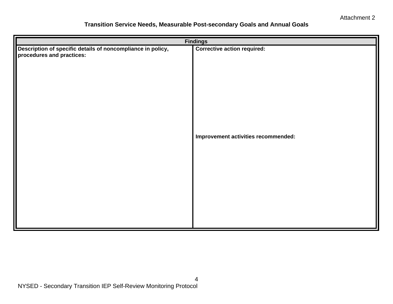#### **Transition Service Needs, Measurable Post-secondary Goals and Annual Goals**

| <b>Findings</b>                                                                          |                                     |  |  |
|------------------------------------------------------------------------------------------|-------------------------------------|--|--|
| Description of specific details of noncompliance in policy,<br>procedures and practices: | <b>Corrective action required:</b>  |  |  |
|                                                                                          | Improvement activities recommended: |  |  |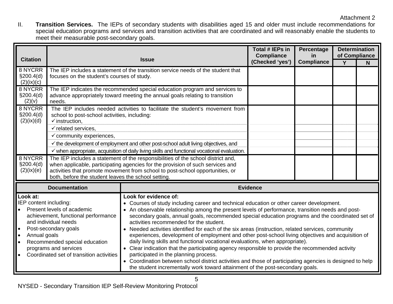II. **Transition Services.** The IEPs of secondary students with disabilities aged 15 and older must include recommendations for special education programs and services and transition activities that are coordinated and will reasonably enable the students to meet their measurable post-secondary goals.

| <b>Citation</b>                                                                                                                                                                                                                                                                                                      |                                                                                                                                                                                                                                                                                                            | <b>Issue</b>                                                                                                                                                                                                                                                                                                                                                                                                                                                                                                                                                                                                                                                                                                                                                                                                                                                                                                                                                                                                | Total # IEPs in<br><b>Compliance</b><br>(Checked 'yes') | Percentage<br>in.<br><b>Compliance</b> | <b>Determination</b><br>of Compliance<br>Y | N |
|----------------------------------------------------------------------------------------------------------------------------------------------------------------------------------------------------------------------------------------------------------------------------------------------------------------------|------------------------------------------------------------------------------------------------------------------------------------------------------------------------------------------------------------------------------------------------------------------------------------------------------------|-------------------------------------------------------------------------------------------------------------------------------------------------------------------------------------------------------------------------------------------------------------------------------------------------------------------------------------------------------------------------------------------------------------------------------------------------------------------------------------------------------------------------------------------------------------------------------------------------------------------------------------------------------------------------------------------------------------------------------------------------------------------------------------------------------------------------------------------------------------------------------------------------------------------------------------------------------------------------------------------------------------|---------------------------------------------------------|----------------------------------------|--------------------------------------------|---|
| 8 NYCRR<br>§200.4(d)<br>(2)(ix)(c)                                                                                                                                                                                                                                                                                   | The IEP includes a statement of the transition service needs of the student that<br>focuses on the student's courses of study.                                                                                                                                                                             |                                                                                                                                                                                                                                                                                                                                                                                                                                                                                                                                                                                                                                                                                                                                                                                                                                                                                                                                                                                                             |                                                         |                                        |                                            |   |
| 8 NYCRR<br>\$200.4(d)<br>(2)(v)                                                                                                                                                                                                                                                                                      | The IEP indicates the recommended special education program and services to<br>advance appropriately toward meeting the annual goals relating to transition<br>needs.                                                                                                                                      |                                                                                                                                                                                                                                                                                                                                                                                                                                                                                                                                                                                                                                                                                                                                                                                                                                                                                                                                                                                                             |                                                         |                                        |                                            |   |
| 8 NYCRR<br>\$200.4(d)<br>(2)(ix)(d)                                                                                                                                                                                                                                                                                  | The IEP includes needed activities to facilitate the student's movement from<br>school to post-school activities, including:<br>$\checkmark$ instruction,<br>$\checkmark$ related services.                                                                                                                |                                                                                                                                                                                                                                                                                                                                                                                                                                                                                                                                                                                                                                                                                                                                                                                                                                                                                                                                                                                                             |                                                         |                                        |                                            |   |
|                                                                                                                                                                                                                                                                                                                      | $\checkmark$ community experiences,<br>$\checkmark$ the development of employment and other post-school adult living objectives, and<br>$\checkmark$ when appropriate, acquisition of daily living skills and functional vocational evaluation.                                                            |                                                                                                                                                                                                                                                                                                                                                                                                                                                                                                                                                                                                                                                                                                                                                                                                                                                                                                                                                                                                             |                                                         |                                        |                                            |   |
| 8 NYCRR<br>§200.4(d)<br>(2)(ix)(e)                                                                                                                                                                                                                                                                                   | The IEP includes a statement of the responsibilities of the school district and,<br>when applicable, participating agencies for the provision of such services and<br>activities that promote movement from school to post-school opportunities, or<br>both, before the student leaves the school setting. |                                                                                                                                                                                                                                                                                                                                                                                                                                                                                                                                                                                                                                                                                                                                                                                                                                                                                                                                                                                                             |                                                         |                                        |                                            |   |
| <b>Documentation</b>                                                                                                                                                                                                                                                                                                 |                                                                                                                                                                                                                                                                                                            | <b>Evidence</b>                                                                                                                                                                                                                                                                                                                                                                                                                                                                                                                                                                                                                                                                                                                                                                                                                                                                                                                                                                                             |                                                         |                                        |                                            |   |
| Look at:<br>IEP content including:<br>Present levels of academic<br>achievement, functional performance<br>and individual needs<br>Post-secondary goals<br>$\bullet$<br>Annual goals<br>$\bullet$<br>Recommended special education<br>$\bullet$<br>programs and services<br>Coordinated set of transition activities |                                                                                                                                                                                                                                                                                                            | Look for evidence of:<br>• Courses of study including career and technical education or other career development.<br>• An observable relationship among the present levels of performance, transition needs and post-<br>secondary goals, annual goals, recommended special education programs and the coordinated set of<br>activities recommended for the student.<br>• Needed activities identified for each of the six areas (instruction, related services, community<br>experiences, development of employment and other post-school living objectives and acquisition of<br>daily living skills and functional vocational evaluations, when appropriate).<br>• Clear indication that the participating agency responsible to provide the recommended activity<br>participated in the planning process.<br>• Coordination between school district activities and those of participating agencies is designed to help<br>the student incrementally work toward attainment of the post-secondary goals. |                                                         |                                        |                                            |   |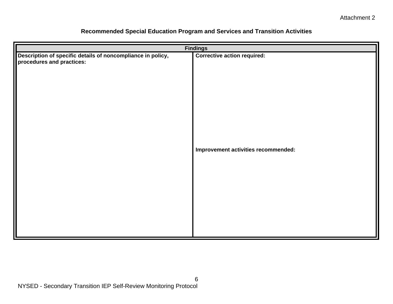| <b>Findings</b>                                                                          |                                     |  |  |
|------------------------------------------------------------------------------------------|-------------------------------------|--|--|
| Description of specific details of noncompliance in policy,<br>procedures and practices: | <b>Corrective action required:</b>  |  |  |
|                                                                                          | Improvement activities recommended: |  |  |

# **Recommended Special Education Program and Services and Transition Activities**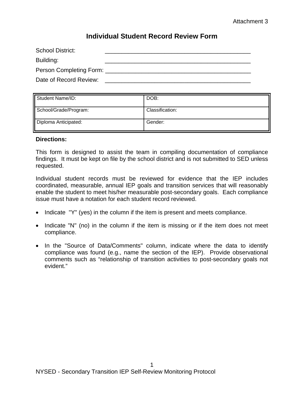# **Individual Student Record Review Form**

| <b>School District:</b> |  |
|-------------------------|--|
| Building:               |  |
| Person Completing Form: |  |
| Date of Record Review:  |  |

| Student Name/ID:      | DOB:            |
|-----------------------|-----------------|
| School/Grade/Program: | Classification: |
| Diploma Anticipated:  | Gender:         |

#### **Directions:**

This form is designed to assist the team in compiling documentation of compliance findings. It must be kept on file by the school district and is not submitted to SED unless requested.

Individual student records must be reviewed for evidence that the IEP includes coordinated, measurable, annual IEP goals and transition services that will reasonably enable the student to meet his/her measurable post-secondary goals. Each compliance issue must have a notation for each student record reviewed.

- Indicate "Y" (yes) in the column if the item is present and meets compliance.
- Indicate "N" (no) in the column if the item is missing or if the item does not meet compliance.
- In the "Source of Data/Comments" column, indicate where the data to identify compliance was found (e.g., name the section of the IEP). Provide observational comments such as "relationship of transition activities to post-secondary goals not evident."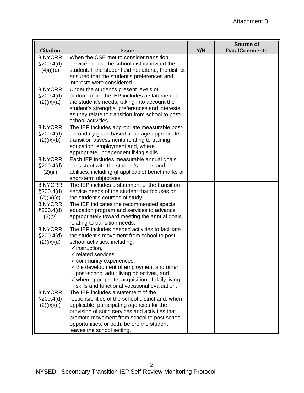| <b>Citation</b> | <b>Issue</b>                                                                              | Y/N | <b>Source of</b><br><b>Data/Comments</b> |
|-----------------|-------------------------------------------------------------------------------------------|-----|------------------------------------------|
| 8 NYCRR         | When the CSE met to consider transition                                                   |     |                                          |
| \$200.4(d)      | service needs, the school district invited the                                            |     |                                          |
| (4)(i)(c)       | student. If the student did not attend, the district                                      |     |                                          |
|                 | ensured that the student's preferences and                                                |     |                                          |
|                 | interests were considered.                                                                |     |                                          |
| 8 NYCRR         | Under the student's present levels of                                                     |     |                                          |
| \$200.4(d)      | performance, the IEP includes a statement of                                              |     |                                          |
| (2)(ix)(a)      | the student's needs, taking into account the                                              |     |                                          |
|                 | student's strengths, preferences and interests,                                           |     |                                          |
|                 | as they relate to transition from school to post-                                         |     |                                          |
|                 | school activities.                                                                        |     |                                          |
| 8 NYCRR         | The IEP includes appropriate measurable post-                                             |     |                                          |
| \$200.4(d)      | secondary goals based upon age appropriate                                                |     |                                          |
| (2)(ix)(b)      | transition assessments relating to training,                                              |     |                                          |
|                 | education, employment and, where                                                          |     |                                          |
| 8 NYCRR         | appropriate, independent living skills.                                                   |     |                                          |
| \$200.4(d)      | Each IEP includes measurable annual goals<br>consistent with the student's needs and      |     |                                          |
| (2)(iii)        | abilities, including (if applicable) benchmarks or                                        |     |                                          |
|                 | short-term objectives.                                                                    |     |                                          |
| 8 NYCRR         | The IEP includes a statement of the transition                                            |     |                                          |
| \$200.4(d)      | service needs of the student that focuses on                                              |     |                                          |
| (2)(ix)(c)      | the student's courses of study.                                                           |     |                                          |
| 8 NYCRR         | The IEP indicates the recommended special                                                 |     |                                          |
| \$200.4(d)      | education program and services to advance                                                 |     |                                          |
| (2)(v)          | appropriately toward meeting the annual goals                                             |     |                                          |
|                 | relating to transition needs.                                                             |     |                                          |
| 8 NYCRR         | The IEP includes needed activities to facilitate                                          |     |                                          |
| \$200.4(d)      | the student's movement from school to post-                                               |     |                                          |
| (2)(ix)(d)      | school activities, including:                                                             |     |                                          |
|                 | $\checkmark$ instruction,                                                                 |     |                                          |
|                 | $\checkmark$ related services,                                                            |     |                                          |
|                 | $\checkmark$ community experiences                                                        |     |                                          |
|                 | $\checkmark$ the development of employment and other                                      |     |                                          |
|                 | post-school adult living objectives, and                                                  |     |                                          |
|                 | $\checkmark$ when appropriate, acquisition of daily living                                |     |                                          |
|                 | skills and functional vocational evaluation.                                              |     |                                          |
| 8 NYCRR         | The IEP includes a statement of the                                                       |     |                                          |
| \$200.4(d)      | responsibilities of the school district and, when                                         |     |                                          |
| (2)(ix)(e)      | applicable, participating agencies for the                                                |     |                                          |
|                 | provision of such services and activities that                                            |     |                                          |
|                 | promote movement from school to post school<br>opportunities, or both, before the student |     |                                          |
|                 | leaves the school setting.                                                                |     |                                          |
|                 |                                                                                           |     |                                          |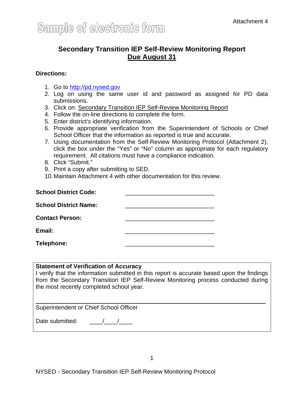# **Secondary Transition IEP Self-Review Monitoring Report Due August 31**

#### **Directions:**

- 1. Go to [http://pd.nysed.gov](http://pd.nysed.gov/)
- 2. Log on using the same user id and password as assigned for PD data submissions.
- 3. Click on: Secondary Transition IEP Self-Review Monitoring Report
- 4. Follow the on-line directions to complete the form.
- 5. Enter district's identifying information.
- 6. Provide appropriate verification from the Superintendent of Schools or Chief School Officer that the information as reported is true and accurate.
- 7. Using documentation from the Self-Review Monitoring Protocol (Attachment 2), click the box under the "Yes" or "No" column as appropriate for each regulatory requirement. All citations must have a compliance indication.
- 8. Click "Submit."
- 9. Print a copy after submitting to SED.
- 10. Maintain Attachment 4 with other documentation for this review.

| <b>School District Code:</b> |  |
|------------------------------|--|
| <b>School District Name:</b> |  |
| <b>Contact Person:</b>       |  |
| Email:                       |  |
| Telephone:                   |  |

#### **Statement of Verification of Accuracy**

I verify that the information submitted in this report is accurate based upon the findings from the Secondary Transition IEP Self-Review Monitoring process conducted during the most recently completed school year.

Superintendent or Chief School Officer

Date submitted:  $\frac{1}{2}$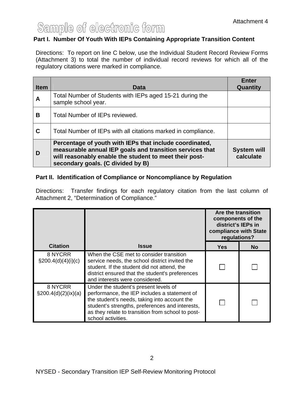# Sample of electronic form

## **Part I. Number Of Youth With IEPs Containing Appropriate Transition Content**

Directions: To report on line C below, use the Individual Student Record Review Forms (Attachment 3) to total the number of individual record reviews for which all of the regulatory citations were marked in compliance.

| <b>Item</b> | Data                                                                                                                                                                                                               | <b>Enter</b><br>Quantity        |
|-------------|--------------------------------------------------------------------------------------------------------------------------------------------------------------------------------------------------------------------|---------------------------------|
| A           | Total Number of Students with IEPs aged 15-21 during the<br>sample school year.                                                                                                                                    |                                 |
| В           | Total Number of IEPs reviewed.                                                                                                                                                                                     |                                 |
| C           | Total Number of IEPs with all citations marked in compliance.                                                                                                                                                      |                                 |
| D           | Percentage of youth with IEPs that include coordinated,<br>measurable annual IEP goals and transition services that<br>will reasonably enable the student to meet their post-<br>secondary goals. (C divided by B) | <b>System will</b><br>calculate |

#### **Part II. Identification of Compliance or Noncompliance by Regulation**

Directions: Transfer findings for each regulatory citation from the last column of Attachment 2, "Determination of Compliance."

|                                   |                                                                                                                                                                                                                                                                     | Are the transition<br>components of the<br>district's IEPs in<br>compliance with State<br>regulations? |    |
|-----------------------------------|---------------------------------------------------------------------------------------------------------------------------------------------------------------------------------------------------------------------------------------------------------------------|--------------------------------------------------------------------------------------------------------|----|
| <b>Citation</b>                   | <b>Issue</b>                                                                                                                                                                                                                                                        | <b>Yes</b>                                                                                             | No |
| 8 NYCRR<br>$\S200.4(d)(4)(i)(c)$  | When the CSE met to consider transition<br>service needs, the school district invited the<br>student. If the student did not attend, the<br>district ensured that the student's preferences<br>and interests were considered.                                       |                                                                                                        |    |
| 8 NYCRR<br>$\S200.4(d)(2)(ix)(a)$ | Under the student's present levels of<br>performance, the IEP includes a statement of<br>the student's needs, taking into account the<br>student's strengths, preferences and interests,<br>as they relate to transition from school to post-<br>school activities. |                                                                                                        |    |